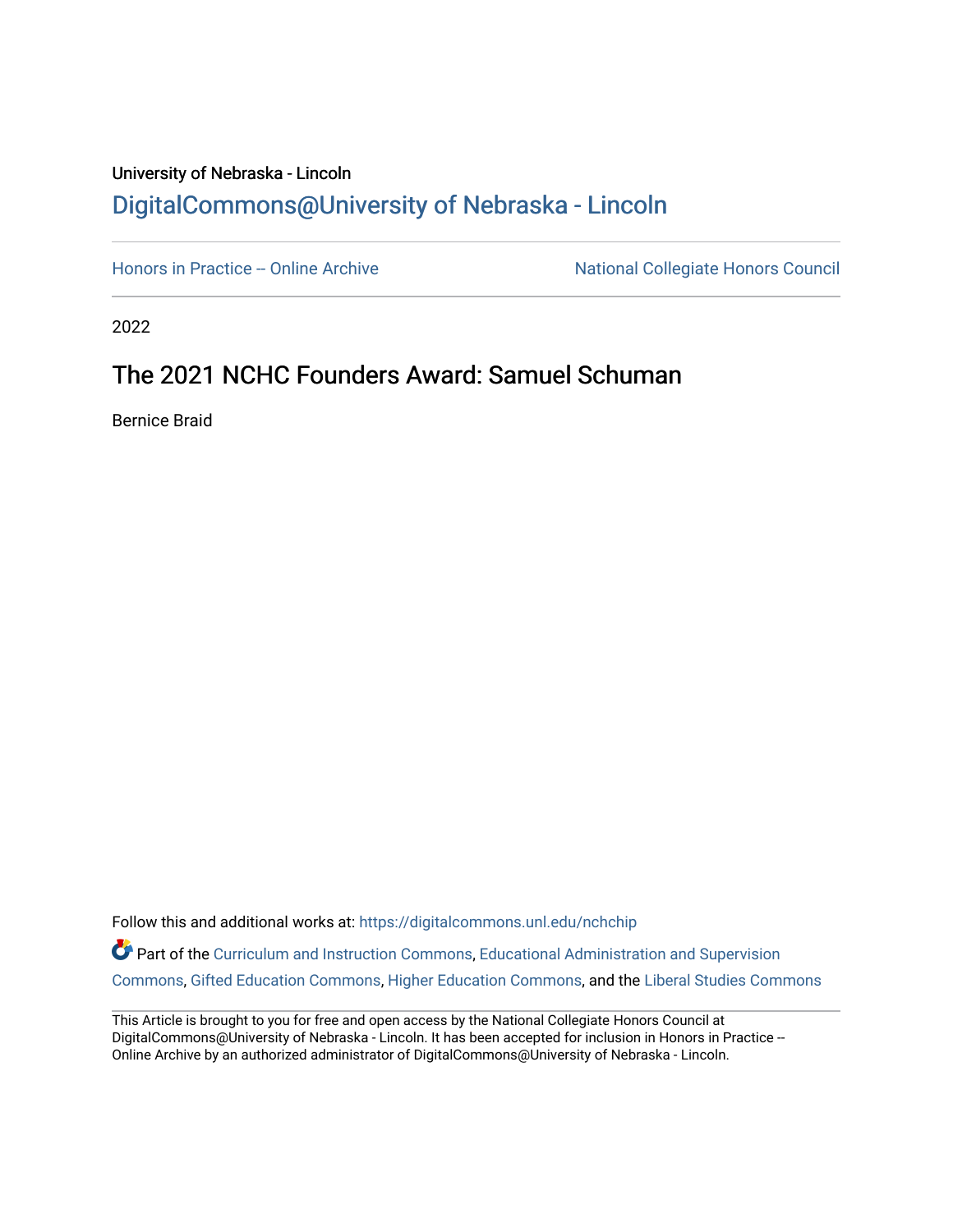### University of Nebraska - Lincoln [DigitalCommons@University of Nebraska - Lincoln](https://digitalcommons.unl.edu/)

[Honors in Practice -- Online Archive](https://digitalcommons.unl.edu/nchchip) National Collegiate Honors Council

2022

## The 2021 NCHC Founders Award: Samuel Schuman

Bernice Braid

Follow this and additional works at: [https://digitalcommons.unl.edu/nchchip](https://digitalcommons.unl.edu/nchchip?utm_source=digitalcommons.unl.edu%2Fnchchip%2F364&utm_medium=PDF&utm_campaign=PDFCoverPages) 

Part of the [Curriculum and Instruction Commons,](http://network.bepress.com/hgg/discipline/786?utm_source=digitalcommons.unl.edu%2Fnchchip%2F364&utm_medium=PDF&utm_campaign=PDFCoverPages) [Educational Administration and Supervision](http://network.bepress.com/hgg/discipline/787?utm_source=digitalcommons.unl.edu%2Fnchchip%2F364&utm_medium=PDF&utm_campaign=PDFCoverPages)  [Commons](http://network.bepress.com/hgg/discipline/787?utm_source=digitalcommons.unl.edu%2Fnchchip%2F364&utm_medium=PDF&utm_campaign=PDFCoverPages), [Gifted Education Commons,](http://network.bepress.com/hgg/discipline/1048?utm_source=digitalcommons.unl.edu%2Fnchchip%2F364&utm_medium=PDF&utm_campaign=PDFCoverPages) [Higher Education Commons](http://network.bepress.com/hgg/discipline/1245?utm_source=digitalcommons.unl.edu%2Fnchchip%2F364&utm_medium=PDF&utm_campaign=PDFCoverPages), and the [Liberal Studies Commons](http://network.bepress.com/hgg/discipline/1042?utm_source=digitalcommons.unl.edu%2Fnchchip%2F364&utm_medium=PDF&utm_campaign=PDFCoverPages)

This Article is brought to you for free and open access by the National Collegiate Honors Council at DigitalCommons@University of Nebraska - Lincoln. It has been accepted for inclusion in Honors in Practice --Online Archive by an authorized administrator of DigitalCommons@University of Nebraska - Lincoln.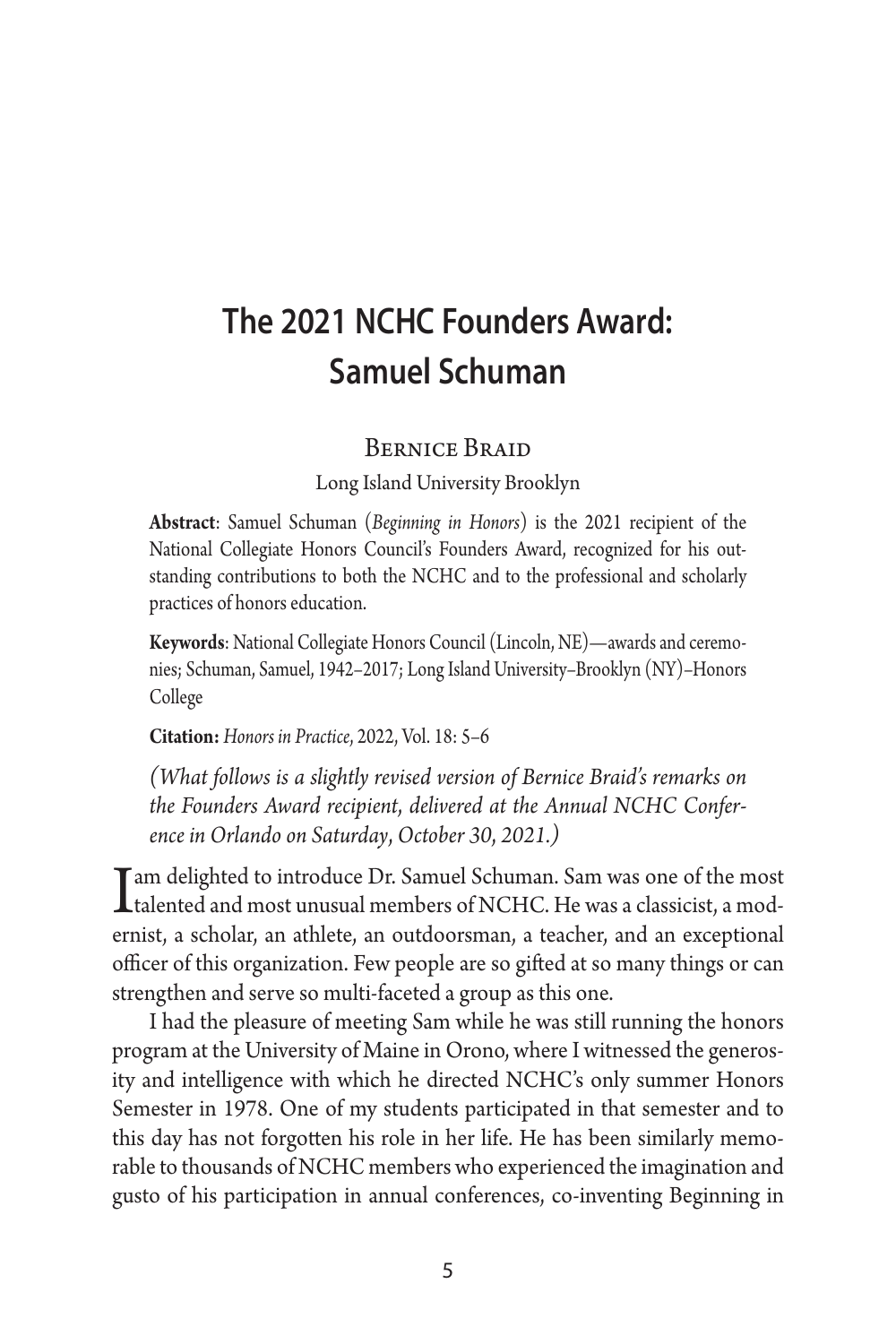# **The 2021 NCHC Founders Award: Samuel Schuman**

### Bernice Braid

Long Island University Brooklyn

**Abstract**: Samuel Schuman (*Beginning in Honors*) is the 2021 recipient of the National Collegiate Honors Council's Founders Award, recognized for his outstanding contributions to both the NCHC and to the professional and scholarly practices of honors education.

**Keywords**: National Collegiate Honors Council (Lincoln, NE)—awards and ceremonies; Schuman, Samuel, 1942–2017; Long Island University–Brooklyn (NY)–Honors College

**Citation:** *Honors in Practice*, 2022, Vol. 18: 5–6

*(What follows is a slightly revised version of Bernice Braid's remarks on the Founders Award recipient*, *delivered at the Annual NCHC Conference in Orlando on Saturday*, *October 30*, *2021.)*

I am delighted to introduce Dr. Samuel Schuman. Sam was one of the most<br>talented and most unusual members of NCHC. He was a classicist, a mod-<br>expirit a sabeles an athlete an authorities at a classic and an appentional ernist, a scholar, an athlete, an outdoorsman, a teacher, and an exceptional officer of this organization. Few people are so gifted at so many things or can strengthen and serve so multi-faceted a group as this one.

I had the pleasure of meeting Sam while he was still running the honors program at the University of Maine in Orono, where I witnessed the generosity and intelligence with which he directed NCHC's only summer Honors Semester in 1978. One of my students participated in that semester and to this day has not forgotten his role in her life. He has been similarly memorable to thousands of NCHC members who experienced the imagination and gusto of his participation in annual conferences, co-inventing Beginning in